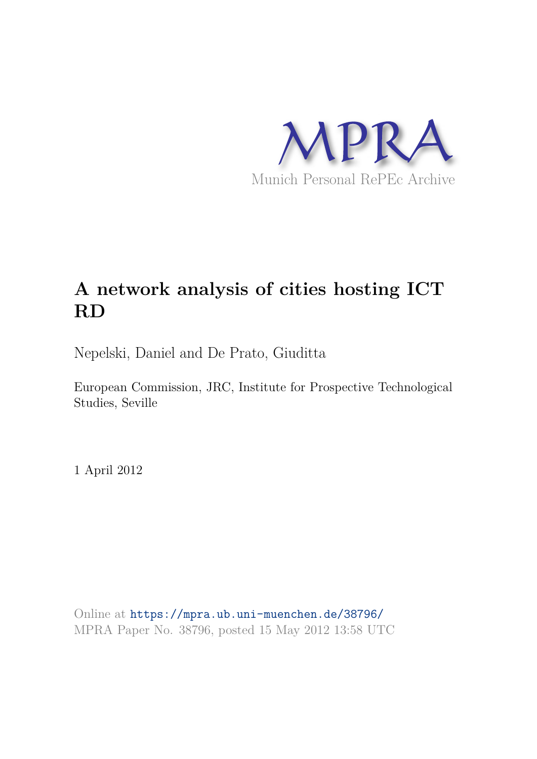

# **A network analysis of cities hosting ICT RD**

Nepelski, Daniel and De Prato, Giuditta

European Commission, JRC, Institute for Prospective Technological Studies, Seville

1 April 2012

Online at https://mpra.ub.uni-muenchen.de/38796/ MPRA Paper No. 38796, posted 15 May 2012 13:58 UTC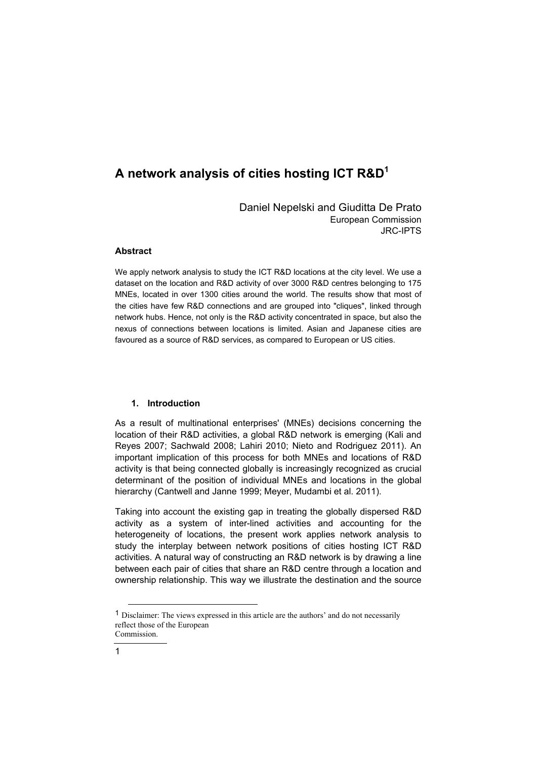## **A network analysis of cities hosting ICT R&D<sup>1</sup>**

Daniel Nepelski and Giuditta De Prato European Commission JRC-IPTS

### **Abstract**

We apply network analysis to study the ICT R&D locations at the city level. We use a dataset on the location and R&D activity of over 3000 R&D centres belonging to 175 MNEs, located in over 1300 cities around the world. The results show that most of the cities have few R&D connections and are grouped into "cliques", linked through network hubs. Hence, not only is the R&D activity concentrated in space, but also the nexus of connections between locations is limited. Asian and Japanese cities are favoured as a source of R&D services, as compared to European or US cities.

#### **1. Introduction**

As a result of multinational enterprises' (MNEs) decisions concerning the location of their R&D activities, a global R&D network is emerging (Kali and Reyes 2007; Sachwald 2008; Lahiri 2010; Nieto and Rodriguez 2011). An important implication of this process for both MNEs and locations of R&D activity is that being connected globally is increasingly recognized as crucial determinant of the position of individual MNEs and locations in the global hierarchy (Cantwell and Janne 1999; Meyer, Mudambi et al. 2011).

Taking into account the existing gap in treating the globally dispersed R&D activity as a system of inter-lined activities and accounting for the heterogeneity of locations, the present work applies network analysis to study the interplay between network positions of cities hosting ICT R&D activities. A natural way of constructing an R&D network is by drawing a line between each pair of cities that share an R&D centre through a location and ownership relationship. This way we illustrate the destination and the source

-

<sup>1</sup> Disclaimer: The views expressed in this article are the authors' and do not necessarily reflect those of the European Commission.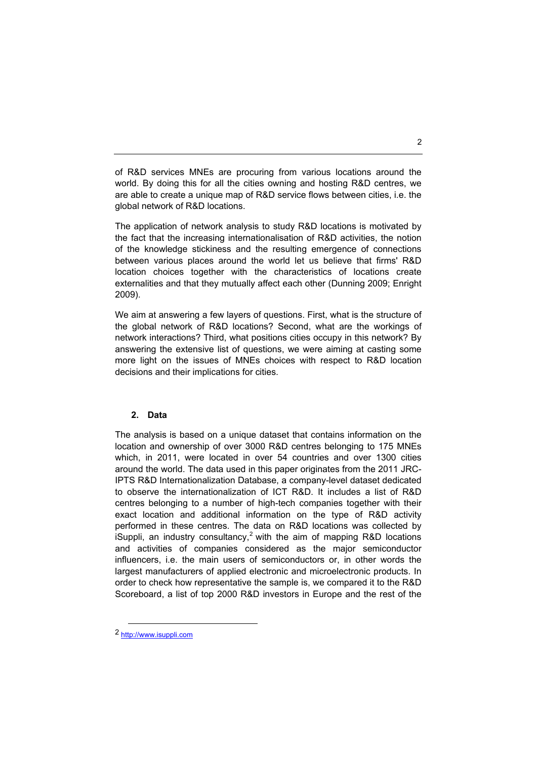of R&D services MNEs are procuring from various locations around the world. By doing this for all the cities owning and hosting R&D centres, we are able to create a unique map of R&D service flows between cities, i.e. the global network of R&D locations.

The application of network analysis to study R&D locations is motivated by the fact that the increasing internationalisation of R&D activities, the notion of the knowledge stickiness and the resulting emergence of connections between various places around the world let us believe that firms' R&D location choices together with the characteristics of locations create externalities and that they mutually affect each other (Dunning 2009; Enright 2009).

We aim at answering a few layers of questions. First, what is the structure of the global network of R&D locations? Second, what are the workings of network interactions? Third, what positions cities occupy in this network? By answering the extensive list of questions, we were aiming at casting some more light on the issues of MNEs choices with respect to R&D location decisions and their implications for cities.

#### **2. Data**

The analysis is based on a unique dataset that contains information on the location and ownership of over 3000 R&D centres belonging to 175 MNEs which, in 2011, were located in over 54 countries and over 1300 cities around the world. The data used in this paper originates from the 2011 JRC-IPTS R&D Internationalization Database, a company-level dataset dedicated to observe the internationalization of ICT R&D. It includes a list of R&D centres belonging to a number of high-tech companies together with their exact location and additional information on the type of R&D activity performed in these centres. The data on R&D locations was collected by iSuppli, an industry consultancy,<sup>2</sup> with the aim of mapping R&D locations and activities of companies considered as the major semiconductor influencers, i.e. the main users of semiconductors or, in other words the largest manufacturers of applied electronic and microelectronic products. In order to check how representative the sample is, we compared it to the R&D Scoreboard, a list of top 2000 R&D investors in Europe and the rest of the

-

<sup>2</sup> http://www.isuppli.com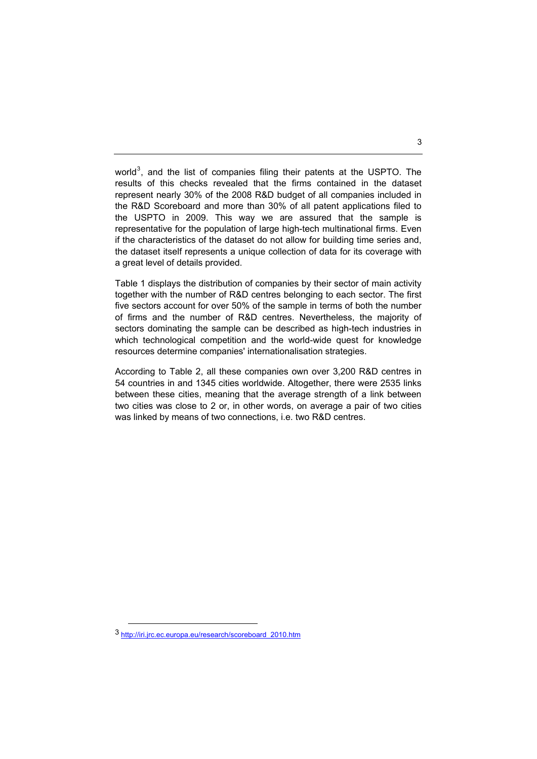world<sup>3</sup>, and the list of companies filing their patents at the USPTO. The results of this checks revealed that the firms contained in the dataset represent nearly 30% of the 2008 R&D budget of all companies included in the R&D Scoreboard and more than 30% of all patent applications filed to the USPTO in 2009. This way we are assured that the sample is representative for the population of large high-tech multinational firms. Even if the characteristics of the dataset do not allow for building time series and, the dataset itself represents a unique collection of data for its coverage with a great level of details provided.

Table 1 displays the distribution of companies by their sector of main activity together with the number of R&D centres belonging to each sector. The first five sectors account for over 50% of the sample in terms of both the number of firms and the number of R&D centres. Nevertheless, the majority of sectors dominating the sample can be described as high-tech industries in which technological competition and the world-wide quest for knowledge resources determine companies' internationalisation strategies.

According to Table 2, all these companies own over 3,200 R&D centres in 54 countries in and 1345 cities worldwide. Altogether, there were 2535 links between these cities, meaning that the average strength of a link between two cities was close to 2 or, in other words, on average a pair of two cities was linked by means of two connections, i.e. two R&D centres.

-

<sup>3</sup> http://iri.jrc.ec.europa.eu/research/scoreboard\_2010.htm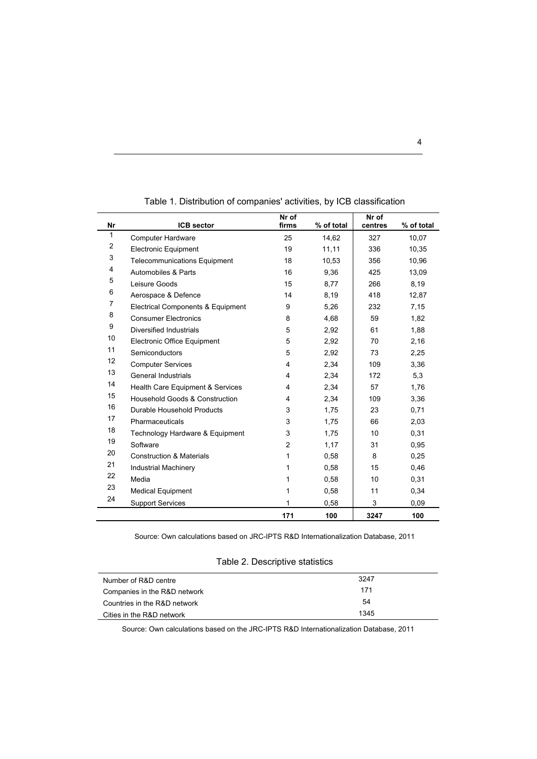|                         |                                     | Nr of          |            | Nr of   |            |
|-------------------------|-------------------------------------|----------------|------------|---------|------------|
| Nr                      | <b>ICB</b> sector                   | firms          | % of total | centres | % of total |
| 1                       | <b>Computer Hardware</b>            | 25             | 14,62      | 327     | 10,07      |
| $\overline{\mathbf{c}}$ | <b>Electronic Equipment</b>         | 19             | 11,11      | 336     | 10,35      |
| 3                       | <b>Telecommunications Equipment</b> | 18             | 10,53      | 356     | 10,96      |
| 4                       | Automobiles & Parts                 | 16             | 9,36       | 425     | 13,09      |
| 5                       | Leisure Goods                       | 15             | 8,77       | 266     | 8,19       |
| 6                       | Aerospace & Defence                 | 14             | 8,19       | 418     | 12,87      |
| 7                       | Electrical Components & Equipment   | 9              | 5,26       | 232     | 7,15       |
| 8                       | <b>Consumer Electronics</b>         | 8              | 4,68       | 59      | 1,82       |
| 9                       | Diversified Industrials             | 5              | 2,92       | 61      | 1,88       |
| 10                      | <b>Electronic Office Equipment</b>  | 5              | 2,92       | 70      | 2,16       |
| 11                      | <b>Semiconductors</b>               | 5              | 2,92       | 73      | 2,25       |
| 12                      | <b>Computer Services</b>            | 4              | 2,34       | 109     | 3,36       |
| 13                      | General Industrials                 | 4              | 2,34       | 172     | 5,3        |
| 14                      | Health Care Equipment & Services    | 4              | 2,34       | 57      | 1,76       |
| 15                      | Household Goods & Construction      | 4              | 2,34       | 109     | 3,36       |
| 16                      | Durable Household Products          | 3              | 1,75       | 23      | 0,71       |
| 17                      | Pharmaceuticals                     | 3              | 1,75       | 66      | 2,03       |
| 18                      | Technology Hardware & Equipment     | 3              | 1,75       | 10      | 0,31       |
| 19                      | Software                            | $\overline{2}$ | 1,17       | 31      | 0,95       |
| 20                      | <b>Construction &amp; Materials</b> | 1              | 0,58       | 8       | 0.25       |
| 21                      | <b>Industrial Machinery</b>         | 1              | 0.58       | 15      | 0,46       |
| 22                      | Media                               | 1              | 0,58       | 10      | 0,31       |
| 23                      | <b>Medical Equipment</b>            | 1              | 0.58       | 11      | 0,34       |
| 24                      | <b>Support Services</b>             | 1              | 0,58       | 3       | 0,09       |
|                         |                                     |                |            |         |            |
|                         |                                     | 171            | 100        | 3247    | 100        |

Table 1. Distribution of companies' activities, by ICB classification

Source: Own calculations based on JRC-IPTS R&D Internationalization Database, 2011

|  | Table 2. Descriptive statistics |  |
|--|---------------------------------|--|
|--|---------------------------------|--|

| Number of R&D centre         | 3247 |
|------------------------------|------|
| Companies in the R&D network | 171  |
| Countries in the R&D network | 54   |
| Cities in the R&D network    | 1345 |

Source: Own calculations based on the JRC-IPTS R&D Internationalization Database, 2011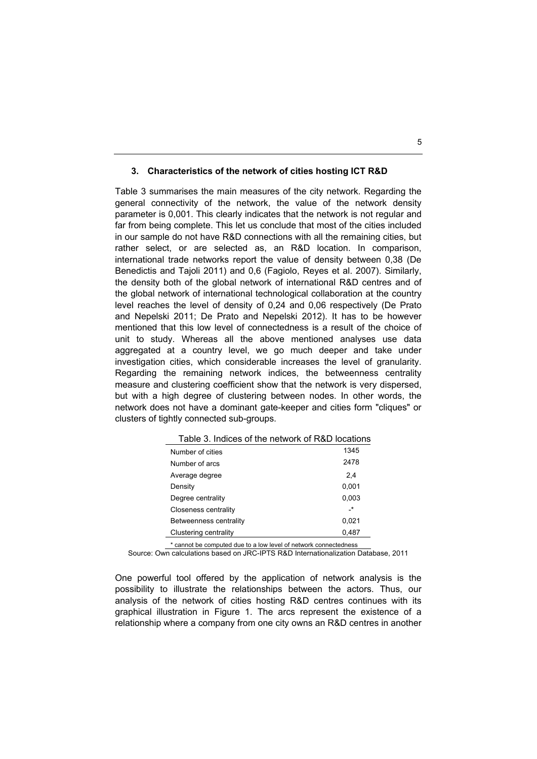#### **3. Characteristics of the network of cities hosting ICT R&D**

Table 3 summarises the main measures of the city network. Regarding the general connectivity of the network, the value of the network density parameter is 0,001. This clearly indicates that the network is not regular and far from being complete. This let us conclude that most of the cities included in our sample do not have R&D connections with all the remaining cities, but rather select, or are selected as, an R&D location. In comparison, international trade networks report the value of density between 0,38 (De Benedictis and Tajoli 2011) and 0,6 (Fagiolo, Reyes et al. 2007). Similarly, the density both of the global network of international R&D centres and of the global network of international technological collaboration at the country level reaches the level of density of 0,24 and 0,06 respectively (De Prato and Nepelski 2011; De Prato and Nepelski 2012). It has to be however mentioned that this low level of connectedness is a result of the choice of unit to study. Whereas all the above mentioned analyses use data aggregated at a country level, we go much deeper and take under investigation cities, which considerable increases the level of granularity. Regarding the remaining network indices, the betweenness centrality measure and clustering coefficient show that the network is very dispersed, but with a high degree of clustering between nodes. In other words, the network does not have a dominant gate-keeper and cities form "cliques" or clusters of tightly connected sub-groups.

| Table 3. Indices of the network of R&D locations |           |
|--------------------------------------------------|-----------|
| Number of cities                                 | 1345      |
| Number of arcs                                   | 2478      |
| Average degree                                   | 2,4       |
| Density                                          | 0,001     |
| Degree centrality                                | 0,003     |
| <b>Closeness centrality</b>                      | $\cdot^*$ |
| Betweenness centrality                           | 0,021     |
| Clustering centrality                            | 0,487     |

\* cannot be computed due to a low level of network connectedness

Source: Own calculations based on JRC-IPTS R&D Internationalization Database, 2011

One powerful tool offered by the application of network analysis is the possibility to illustrate the relationships between the actors. Thus, our analysis of the network of cities hosting R&D centres continues with its graphical illustration in Figure 1. The arcs represent the existence of a relationship where a company from one city owns an R&D centres in another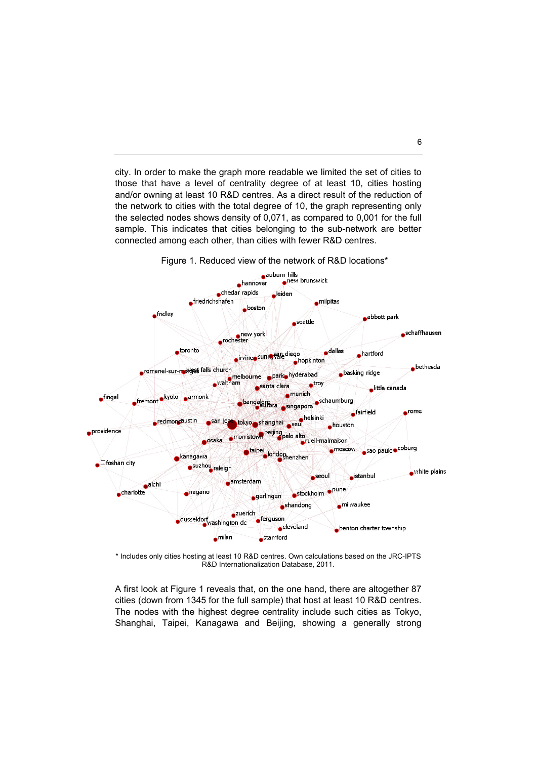city. In order to make the graph more readable we limited the set of cities to those that have a level of centrality degree of at least 10, cities hosting and/or owning at least 10 R&D centres. As a direct result of the reduction of the network to cities with the total degree of 10, the graph representing only the selected nodes shows density of 0,071, as compared to 0,001 for the full sample. This indicates that cities belonging to the sub-network are better connected among each other, than cities with fewer R&D centres.



Figure 1. Reduced view of the network of R&D locations\*

\* Includes only cities hosting at least 10 R&D centres. Own calculations based on the JRC-IPTS R&D Internationalization Database, 2011.

A first look at Figure 1 reveals that, on the one hand, there are altogether 87 cities (down from 1345 for the full sample) that host at least 10 R&D centres. The nodes with the highest degree centrality include such cities as Tokyo, Shanghai, Taipei, Kanagawa and Beijing, showing a generally strong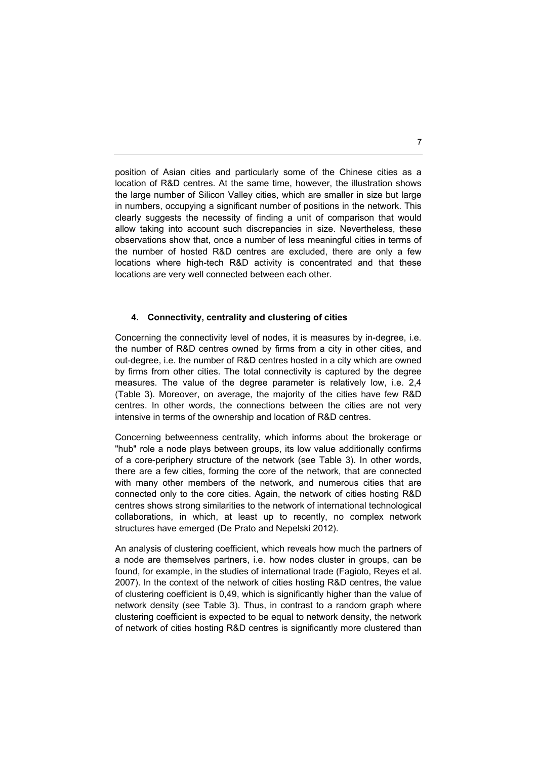position of Asian cities and particularly some of the Chinese cities as a location of R&D centres. At the same time, however, the illustration shows the large number of Silicon Valley cities, which are smaller in size but large in numbers, occupying a significant number of positions in the network. This clearly suggests the necessity of finding a unit of comparison that would allow taking into account such discrepancies in size. Nevertheless, these observations show that, once a number of less meaningful cities in terms of the number of hosted R&D centres are excluded, there are only a few locations where high-tech R&D activity is concentrated and that these locations are very well connected between each other.

#### **4. Connectivity, centrality and clustering of cities**

Concerning the connectivity level of nodes, it is measures by in-degree, i.e. the number of R&D centres owned by firms from a city in other cities, and out-degree, i.e. the number of R&D centres hosted in a city which are owned by firms from other cities. The total connectivity is captured by the degree measures. The value of the degree parameter is relatively low, i.e. 2,4 (Table 3). Moreover, on average, the majority of the cities have few R&D centres. In other words, the connections between the cities are not very intensive in terms of the ownership and location of R&D centres.

Concerning betweenness centrality, which informs about the brokerage or "hub" role a node plays between groups, its low value additionally confirms of a core-periphery structure of the network (see Table 3). In other words, there are a few cities, forming the core of the network, that are connected with many other members of the network, and numerous cities that are connected only to the core cities. Again, the network of cities hosting R&D centres shows strong similarities to the network of international technological collaborations, in which, at least up to recently, no complex network structures have emerged (De Prato and Nepelski 2012).

An analysis of clustering coefficient, which reveals how much the partners of a node are themselves partners, i.e. how nodes cluster in groups, can be found, for example, in the studies of international trade (Fagiolo, Reyes et al. 2007). In the context of the network of cities hosting R&D centres, the value of clustering coefficient is 0,49, which is significantly higher than the value of network density (see Table 3). Thus, in contrast to a random graph where clustering coefficient is expected to be equal to network density, the network of network of cities hosting R&D centres is significantly more clustered than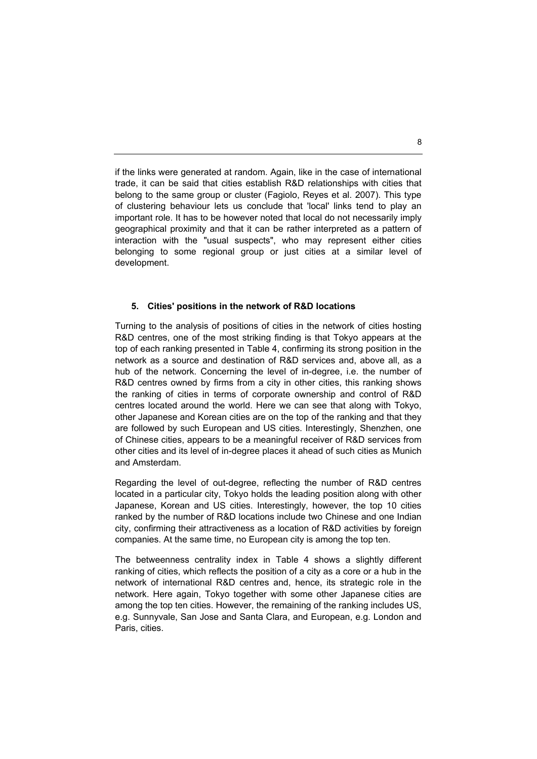if the links were generated at random. Again, like in the case of international trade, it can be said that cities establish R&D relationships with cities that belong to the same group or cluster (Fagiolo, Reyes et al. 2007). This type of clustering behaviour lets us conclude that 'local' links tend to play an important role. It has to be however noted that local do not necessarily imply geographical proximity and that it can be rather interpreted as a pattern of interaction with the "usual suspects", who may represent either cities belonging to some regional group or just cities at a similar level of development.

#### **5. Cities' positions in the network of R&D locations**

Turning to the analysis of positions of cities in the network of cities hosting R&D centres, one of the most striking finding is that Tokyo appears at the top of each ranking presented in Table 4, confirming its strong position in the network as a source and destination of R&D services and, above all, as a hub of the network. Concerning the level of in-degree, i.e. the number of R&D centres owned by firms from a city in other cities, this ranking shows the ranking of cities in terms of corporate ownership and control of R&D centres located around the world. Here we can see that along with Tokyo, other Japanese and Korean cities are on the top of the ranking and that they are followed by such European and US cities. Interestingly, Shenzhen, one of Chinese cities, appears to be a meaningful receiver of R&D services from other cities and its level of in-degree places it ahead of such cities as Munich and Amsterdam.

Regarding the level of out-degree, reflecting the number of R&D centres located in a particular city, Tokyo holds the leading position along with other Japanese, Korean and US cities. Interestingly, however, the top 10 cities ranked by the number of R&D locations include two Chinese and one Indian city, confirming their attractiveness as a location of R&D activities by foreign companies. At the same time, no European city is among the top ten.

The betweenness centrality index in Table 4 shows a slightly different ranking of cities, which reflects the position of a city as a core or a hub in the network of international R&D centres and, hence, its strategic role in the network. Here again, Tokyo together with some other Japanese cities are among the top ten cities. However, the remaining of the ranking includes US, e.g. Sunnyvale, San Jose and Santa Clara, and European, e.g. London and Paris, cities.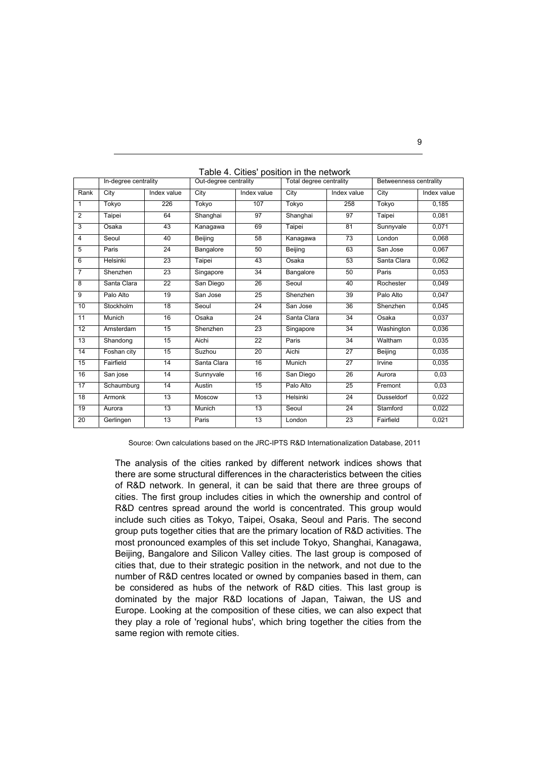|                 | In-degree centrality |                 | $\sim$ onlines position in the not<br>Out-degree centrality |             | Total degree centrality |             | Betweenness centrality |             |
|-----------------|----------------------|-----------------|-------------------------------------------------------------|-------------|-------------------------|-------------|------------------------|-------------|
| Rank            | City                 | Index value     | City                                                        | Index value | City                    | Index value | City                   | Index value |
| 1               | Tokyo                | 226             | Tokyo                                                       | 107         | Tokyo                   | 258         | Tokyo                  | 0,185       |
| $\overline{2}$  | Taipei               | 64              | Shanghai                                                    | 97          | Shanghai                | 97          | Taipei                 | 0,081       |
| 3               | Osaka                | 43              | Kanagawa                                                    | 69          | Taipei                  | 81          | Sunnyvale              | 0,071       |
| $\overline{4}$  | Seoul                | 40              | Beijing                                                     | 58          | Kanagawa                | 73          | London                 | 0,068       |
| 5               | Paris                | $\overline{24}$ | Bangalore                                                   | 50          | Beijing                 | 63          | San Jose               | 0.067       |
| 6               | Helsinki             | 23              | Taipei                                                      | 43          | Osaka                   | 53          | Santa Clara            | 0,062       |
| $\overline{7}$  | Shenzhen             | 23              | Singapore                                                   | 34          | Bangalore               | 50          | Paris                  | 0,053       |
| 8               | Santa Clara          | 22              | San Diego                                                   | 26          | Seoul                   | 40          | Rochester              | 0.049       |
| 9               | Palo Alto            | 19              | San Jose                                                    | 25          | Shenzhen                | 39          | Palo Alto              | 0,047       |
| 10              | Stockholm            | 18              | Seoul                                                       | 24          | San Jose                | 36          | Shenzhen               | 0,045       |
| 11              | Munich               | 16              | Osaka                                                       | 24          | Santa Clara             | 34          | Osaka                  | 0.037       |
| 12 <sup>2</sup> | Amsterdam            | 15              | Shenzhen                                                    | 23          | Singapore               | 34          | Washington             | 0,036       |
| 13              | Shandong             | 15              | Aichi                                                       | 22          | Paris                   | 34          | Waltham                | 0,035       |
| 14              | Foshan city          | 15              | Suzhou                                                      | 20          | Aichi                   | 27          | Beijing                | 0,035       |
| 15              | Fairfield            | 14              | Santa Clara                                                 | 16          | Munich                  | 27          | Irvine                 | 0,035       |
| 16              | San jose             | 14              | Sunnyvale                                                   | 16          | San Diego               | 26          | Aurora                 | 0,03        |
| 17              | Schaumburg           | 14              | Austin                                                      | 15          | Palo Alto               | 25          | Fremont                | 0,03        |
| 18              | Armonk               | $\overline{13}$ | Moscow                                                      | 13          | Helsinki                | 24          | <b>Dusseldorf</b>      | 0,022       |
| 19              | Aurora               | 13              | Munich                                                      | 13          | Seoul                   | 24          | Stamford               | 0,022       |
| 20              | Gerlingen            | 13              | Paris                                                       | 13          | London                  | 23          | Fairfield              | 0,021       |

Table 4. Cities' position in the network

Source: Own calculations based on the JRC-IPTS R&D Internationalization Database, 2011

The analysis of the cities ranked by different network indices shows that there are some structural differences in the characteristics between the cities of R&D network. In general, it can be said that there are three groups of cities. The first group includes cities in which the ownership and control of R&D centres spread around the world is concentrated. This group would include such cities as Tokyo, Taipei, Osaka, Seoul and Paris. The second group puts together cities that are the primary location of R&D activities. The most pronounced examples of this set include Tokyo, Shanghai, Kanagawa, Beijing, Bangalore and Silicon Valley cities. The last group is composed of cities that, due to their strategic position in the network, and not due to the number of R&D centres located or owned by companies based in them, can be considered as hubs of the network of R&D cities. This last group is dominated by the major R&D locations of Japan, Taiwan, the US and Europe. Looking at the composition of these cities, we can also expect that they play a role of 'regional hubs', which bring together the cities from the same region with remote cities.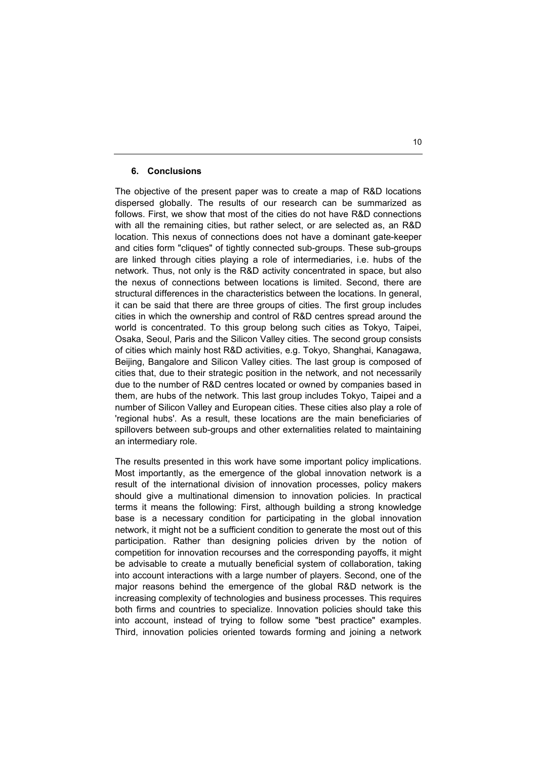#### **6. Conclusions**

The objective of the present paper was to create a map of R&D locations dispersed globally. The results of our research can be summarized as follows. First, we show that most of the cities do not have R&D connections with all the remaining cities, but rather select, or are selected as, an R&D location. This nexus of connections does not have a dominant gate-keeper and cities form "cliques" of tightly connected sub-groups. These sub-groups are linked through cities playing a role of intermediaries, i.e. hubs of the network. Thus, not only is the R&D activity concentrated in space, but also the nexus of connections between locations is limited. Second, there are structural differences in the characteristics between the locations. In general, it can be said that there are three groups of cities. The first group includes cities in which the ownership and control of R&D centres spread around the world is concentrated. To this group belong such cities as Tokyo, Taipei, Osaka, Seoul, Paris and the Silicon Valley cities. The second group consists of cities which mainly host R&D activities, e.g. Tokyo, Shanghai, Kanagawa, Beijing, Bangalore and Silicon Valley cities. The last group is composed of cities that, due to their strategic position in the network, and not necessarily due to the number of R&D centres located or owned by companies based in them, are hubs of the network. This last group includes Tokyo, Taipei and a number of Silicon Valley and European cities. These cities also play a role of 'regional hubs'. As a result, these locations are the main beneficiaries of spillovers between sub-groups and other externalities related to maintaining an intermediary role.

The results presented in this work have some important policy implications. Most importantly, as the emergence of the global innovation network is a result of the international division of innovation processes, policy makers should give a multinational dimension to innovation policies. In practical terms it means the following: First, although building a strong knowledge base is a necessary condition for participating in the global innovation network, it might not be a sufficient condition to generate the most out of this participation. Rather than designing policies driven by the notion of competition for innovation recourses and the corresponding payoffs, it might be advisable to create a mutually beneficial system of collaboration, taking into account interactions with a large number of players. Second, one of the major reasons behind the emergence of the global R&D network is the increasing complexity of technologies and business processes. This requires both firms and countries to specialize. Innovation policies should take this into account, instead of trying to follow some "best practice" examples. Third, innovation policies oriented towards forming and joining a network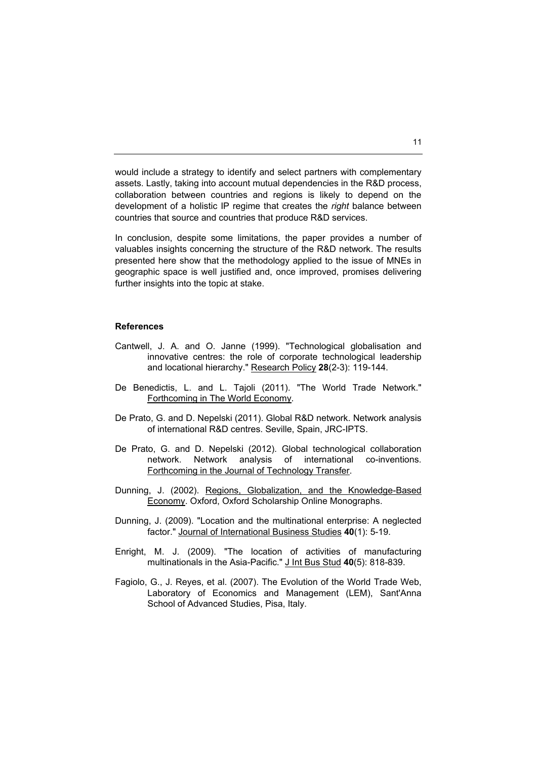would include a strategy to identify and select partners with complementary assets. Lastly, taking into account mutual dependencies in the R&D process, collaboration between countries and regions is likely to depend on the development of a holistic IP regime that creates the *right* balance between countries that source and countries that produce R&D services.

In conclusion, despite some limitations, the paper provides a number of valuables insights concerning the structure of the R&D network. The results presented here show that the methodology applied to the issue of MNEs in geographic space is well justified and, once improved, promises delivering further insights into the topic at stake.

#### **References**

- Cantwell, J. A. and O. Janne (1999). "Technological globalisation and innovative centres: the role of corporate technological leadership and locational hierarchy." Research Policy **28**(2-3): 119-144.
- De Benedictis, L. and L. Tajoli (2011). "The World Trade Network." Forthcoming in The World Economy.
- De Prato, G. and D. Nepelski (2011). Global R&D network. Network analysis of international R&D centres. Seville, Spain, JRC-IPTS.
- De Prato, G. and D. Nepelski (2012). Global technological collaboration network. Network analysis of international co-inventions. Forthcoming in the Journal of Technology Transfer.
- Dunning, J. (2002). Regions, Globalization, and the Knowledge-Based Economy. Oxford, Oxford Scholarship Online Monographs.
- Dunning, J. (2009). "Location and the multinational enterprise: A neglected factor." Journal of International Business Studies **40**(1): 5-19.
- Enright, M. J. (2009). "The location of activities of manufacturing multinationals in the Asia-Pacific." J Int Bus Stud 40(5): 818-839.
- Fagiolo, G., J. Reyes, et al. (2007). The Evolution of the World Trade Web, Laboratory of Economics and Management (LEM), Sant'Anna School of Advanced Studies, Pisa, Italy.